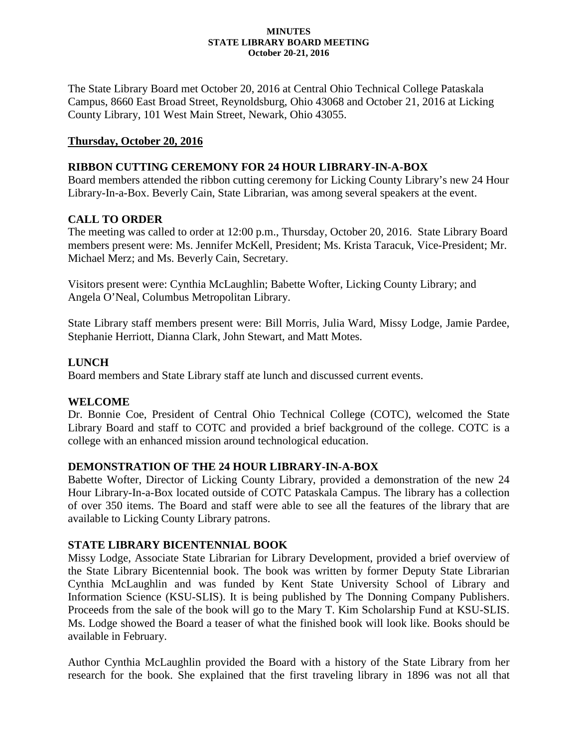#### **MINUTES STATE LIBRARY BOARD MEETING October 20-21, 2016**

The State Library Board met October 20, 2016 at Central Ohio Technical College Pataskala Campus, 8660 East Broad Street, Reynoldsburg, Ohio 43068 and October 21, 2016 at Licking County Library, 101 West Main Street, Newark, Ohio 43055.

### **Thursday, October 20, 2016**

### **RIBBON CUTTING CEREMONY FOR 24 HOUR LIBRARY-IN-A-BOX**

Board members attended the ribbon cutting ceremony for Licking County Library's new 24 Hour Library-In-a-Box. Beverly Cain, State Librarian, was among several speakers at the event.

### **CALL TO ORDER**

The meeting was called to order at 12:00 p.m., Thursday, October 20, 2016. State Library Board members present were: Ms. Jennifer McKell, President; Ms. Krista Taracuk, Vice-President; Mr. Michael Merz; and Ms. Beverly Cain, Secretary.

Visitors present were: Cynthia McLaughlin; Babette Wofter, Licking County Library; and Angela O'Neal, Columbus Metropolitan Library.

State Library staff members present were: Bill Morris, Julia Ward, Missy Lodge, Jamie Pardee, Stephanie Herriott, Dianna Clark, John Stewart, and Matt Motes.

### **LUNCH**

Board members and State Library staff ate lunch and discussed current events.

### **WELCOME**

Dr. Bonnie Coe, President of Central Ohio Technical College (COTC), welcomed the State Library Board and staff to COTC and provided a brief background of the college. COTC is a college with an enhanced mission around technological education.

### **DEMONSTRATION OF THE 24 HOUR LIBRARY-IN-A-BOX**

Babette Wofter, Director of Licking County Library, provided a demonstration of the new 24 Hour Library-In-a-Box located outside of COTC Pataskala Campus. The library has a collection of over 350 items. The Board and staff were able to see all the features of the library that are available to Licking County Library patrons.

### **STATE LIBRARY BICENTENNIAL BOOK**

Missy Lodge, Associate State Librarian for Library Development, provided a brief overview of the State Library Bicentennial book. The book was written by former Deputy State Librarian Cynthia McLaughlin and was funded by Kent State University School of Library and Information Science (KSU-SLIS). It is being published by The Donning Company Publishers. Proceeds from the sale of the book will go to the Mary T. Kim Scholarship Fund at KSU-SLIS. Ms. Lodge showed the Board a teaser of what the finished book will look like. Books should be available in February.

Author Cynthia McLaughlin provided the Board with a history of the State Library from her research for the book. She explained that the first traveling library in 1896 was not all that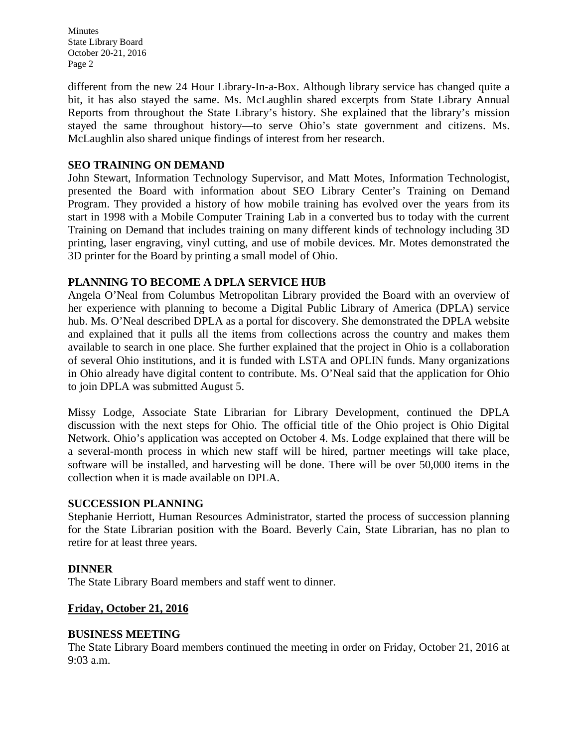different from the new 24 Hour Library-In-a-Box. Although library service has changed quite a bit, it has also stayed the same. Ms. McLaughlin shared excerpts from State Library Annual Reports from throughout the State Library's history. She explained that the library's mission stayed the same throughout history—to serve Ohio's state government and citizens. Ms. McLaughlin also shared unique findings of interest from her research.

### **SEO TRAINING ON DEMAND**

John Stewart, Information Technology Supervisor, and Matt Motes, Information Technologist, presented the Board with information about SEO Library Center's Training on Demand Program. They provided a history of how mobile training has evolved over the years from its start in 1998 with a Mobile Computer Training Lab in a converted bus to today with the current Training on Demand that includes training on many different kinds of technology including 3D printing, laser engraving, vinyl cutting, and use of mobile devices. Mr. Motes demonstrated the 3D printer for the Board by printing a small model of Ohio.

### **PLANNING TO BECOME A DPLA SERVICE HUB**

Angela O'Neal from Columbus Metropolitan Library provided the Board with an overview of her experience with planning to become a Digital Public Library of America (DPLA) service hub. Ms. O'Neal described DPLA as a portal for discovery. She demonstrated the DPLA website and explained that it pulls all the items from collections across the country and makes them available to search in one place. She further explained that the project in Ohio is a collaboration of several Ohio institutions, and it is funded with LSTA and OPLIN funds. Many organizations in Ohio already have digital content to contribute. Ms. O'Neal said that the application for Ohio to join DPLA was submitted August 5.

Missy Lodge, Associate State Librarian for Library Development, continued the DPLA discussion with the next steps for Ohio. The official title of the Ohio project is Ohio Digital Network. Ohio's application was accepted on October 4. Ms. Lodge explained that there will be a several-month process in which new staff will be hired, partner meetings will take place, software will be installed, and harvesting will be done. There will be over 50,000 items in the collection when it is made available on DPLA.

### **SUCCESSION PLANNING**

Stephanie Herriott, Human Resources Administrator, started the process of succession planning for the State Librarian position with the Board. Beverly Cain, State Librarian, has no plan to retire for at least three years.

### **DINNER**

The State Library Board members and staff went to dinner.

### **Friday, October 21, 2016**

### **BUSINESS MEETING**

The State Library Board members continued the meeting in order on Friday, October 21, 2016 at 9:03 a.m.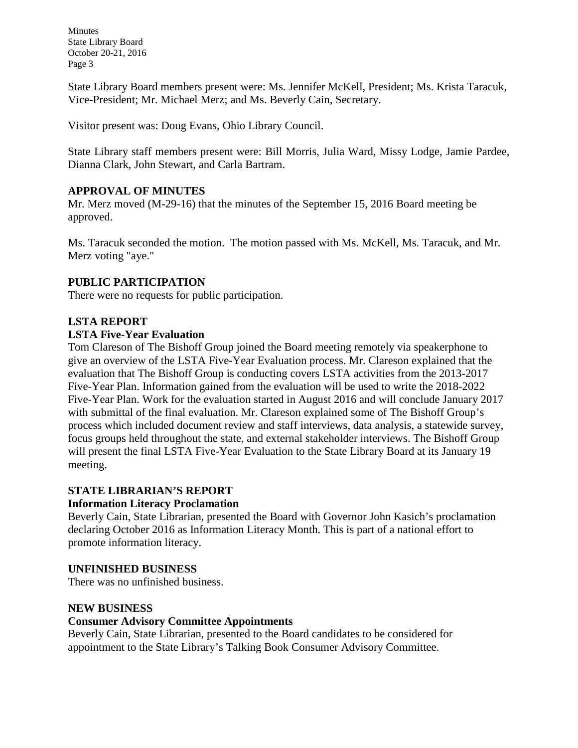State Library Board members present were: Ms. Jennifer McKell, President; Ms. Krista Taracuk, Vice-President; Mr. Michael Merz; and Ms. Beverly Cain, Secretary.

Visitor present was: Doug Evans, Ohio Library Council.

State Library staff members present were: Bill Morris, Julia Ward, Missy Lodge, Jamie Pardee, Dianna Clark, John Stewart, and Carla Bartram.

### **APPROVAL OF MINUTES**

Mr. Merz moved (M-29-16) that the minutes of the September 15, 2016 Board meeting be approved.

Ms. Taracuk seconded the motion. The motion passed with Ms. McKell, Ms. Taracuk, and Mr. Merz voting "aye."

# **PUBLIC PARTICIPATION**

There were no requests for public participation.

### **LSTA REPORT**

### **LSTA Five-Year Evaluation**

Tom Clareson of The Bishoff Group joined the Board meeting remotely via speakerphone to give an overview of the LSTA Five-Year Evaluation process. Mr. Clareson explained that the evaluation that The Bishoff Group is conducting covers LSTA activities from the 2013-2017 Five-Year Plan. Information gained from the evaluation will be used to write the 2018-2022 Five-Year Plan. Work for the evaluation started in August 2016 and will conclude January 2017 with submittal of the final evaluation. Mr. Clareson explained some of The Bishoff Group's process which included document review and staff interviews, data analysis, a statewide survey, focus groups held throughout the state, and external stakeholder interviews. The Bishoff Group will present the final LSTA Five-Year Evaluation to the State Library Board at its January 19 meeting.

# **STATE LIBRARIAN'S REPORT**

### **Information Literacy Proclamation**

Beverly Cain, State Librarian, presented the Board with Governor John Kasich's proclamation declaring October 2016 as Information Literacy Month. This is part of a national effort to promote information literacy.

# **UNFINISHED BUSINESS**

There was no unfinished business.

### **NEW BUSINESS**

### **Consumer Advisory Committee Appointments**

Beverly Cain, State Librarian, presented to the Board candidates to be considered for appointment to the State Library's Talking Book Consumer Advisory Committee.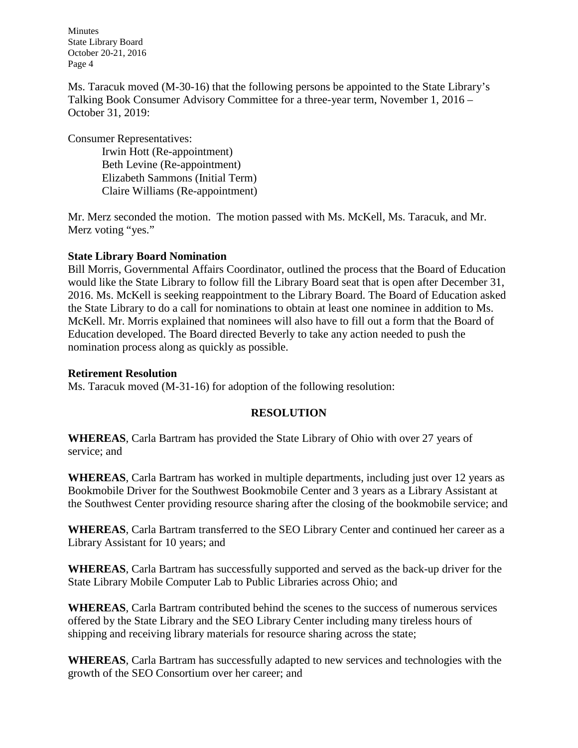Ms. Taracuk moved (M-30-16) that the following persons be appointed to the State Library's Talking Book Consumer Advisory Committee for a three-year term, November 1, 2016 – October 31, 2019:

Consumer Representatives:

Irwin Hott (Re-appointment) Beth Levine (Re-appointment) Elizabeth Sammons (Initial Term) Claire Williams (Re-appointment)

Mr. Merz seconded the motion. The motion passed with Ms. McKell, Ms. Taracuk, and Mr. Merz voting "yes."

# **State Library Board Nomination**

Bill Morris, Governmental Affairs Coordinator, outlined the process that the Board of Education would like the State Library to follow fill the Library Board seat that is open after December 31, 2016. Ms. McKell is seeking reappointment to the Library Board. The Board of Education asked the State Library to do a call for nominations to obtain at least one nominee in addition to Ms. McKell. Mr. Morris explained that nominees will also have to fill out a form that the Board of Education developed. The Board directed Beverly to take any action needed to push the nomination process along as quickly as possible.

### **Retirement Resolution**

Ms. Taracuk moved (M-31-16) for adoption of the following resolution:

# **RESOLUTION**

**WHEREAS**, Carla Bartram has provided the State Library of Ohio with over 27 years of service; and

**WHEREAS**, Carla Bartram has worked in multiple departments, including just over 12 years as Bookmobile Driver for the Southwest Bookmobile Center and 3 years as a Library Assistant at the Southwest Center providing resource sharing after the closing of the bookmobile service; and

**WHEREAS**, Carla Bartram transferred to the SEO Library Center and continued her career as a Library Assistant for 10 years; and

**WHEREAS**, Carla Bartram has successfully supported and served as the back-up driver for the State Library Mobile Computer Lab to Public Libraries across Ohio; and

**WHEREAS**, Carla Bartram contributed behind the scenes to the success of numerous services offered by the State Library and the SEO Library Center including many tireless hours of shipping and receiving library materials for resource sharing across the state;

**WHEREAS**, Carla Bartram has successfully adapted to new services and technologies with the growth of the SEO Consortium over her career; and